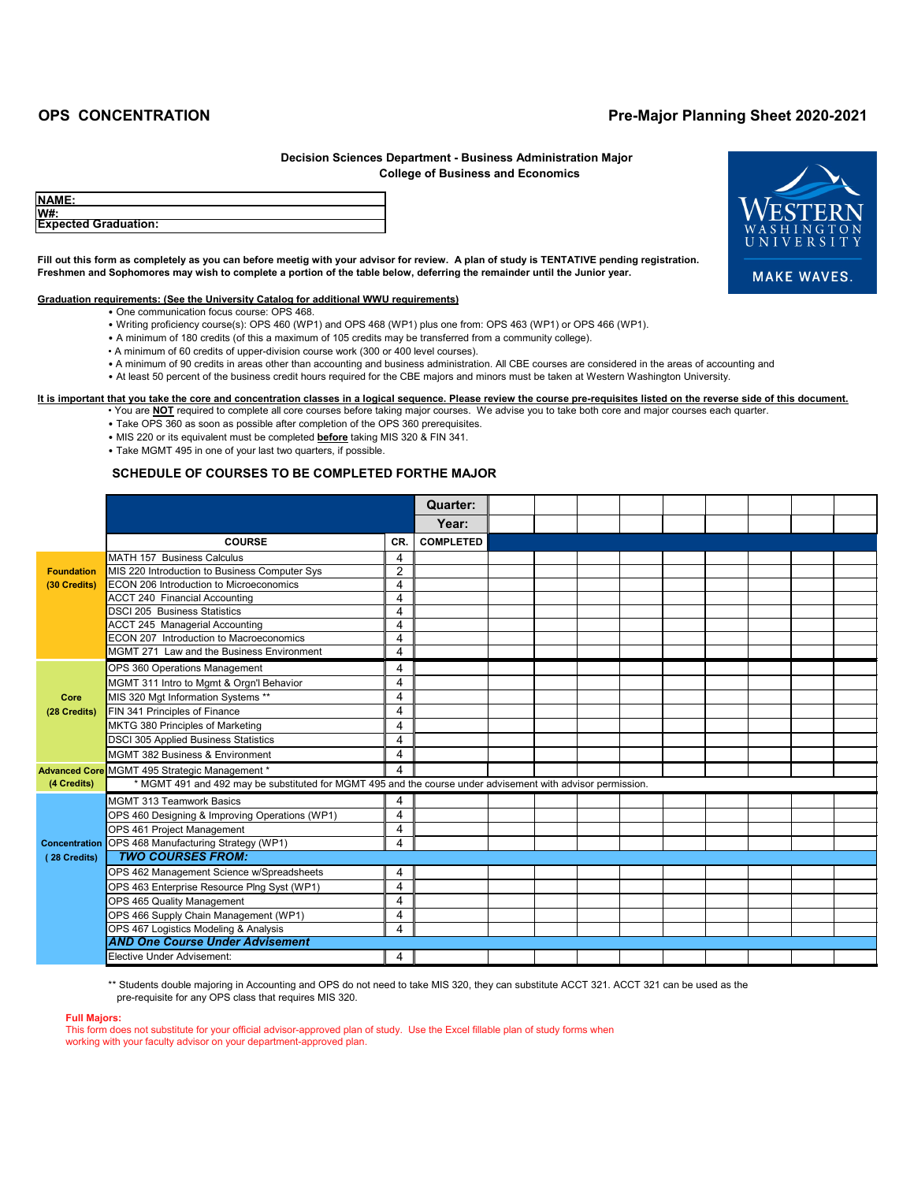**Fill out this form as completely as you can before meetig with your advisor for review. A plan of study is TENTATIVE pending registration. Freshmen and Sophomores may wish to complete a portion of the table below, deferring the remainder until the Junior year.**

## **Graduation requirements: (See the University Catalog for additional WWU requirements)**

- One communication focus course: OPS 468.
- Writing proficiency course(s): OPS 460 (WP1) and OPS 468 (WP1) plus one from: OPS 463 (WP1) or OPS 466 (WP1).
- A minimum of 180 credits (of this a maximum of 105 credits may be transferred from a community college).
- A minimum of 60 credits of upper-division course work (300 or 400 level courses).
- A minimum of 90 credits in areas other than accounting and business administration. All CBE courses are considered in the areas of accounting and
- At least 50 percent of the business credit hours required for the CBE majors and minors must be taken at Western Washington University.

- You are **NOT** required to complete all core courses before taking major courses. We advise you to take both core and major courses each quarter.
- Take OPS 360 as soon as possible after completion of the OPS 360 prerequisites.
- MIS 220 or its equivalent must be completed **before** taking MIS 320 & FIN 341.
- Take MGMT 495 in one of your last two quarters, if possible.

## **It is important that you take the core and concentration classes in a logical sequence. Please review the course pre-requisites listed on the reverse side of this document.**

|                      |                                                                                                             |                | <b>Quarter:</b>  |  |  |  |  |  |
|----------------------|-------------------------------------------------------------------------------------------------------------|----------------|------------------|--|--|--|--|--|
|                      |                                                                                                             |                | Year:            |  |  |  |  |  |
|                      | <b>COURSE</b>                                                                                               | CR.            | <b>COMPLETED</b> |  |  |  |  |  |
|                      | <b>MATH 157 Business Calculus</b>                                                                           | 4              |                  |  |  |  |  |  |
| <b>Foundation</b>    | MIS 220 Introduction to Business Computer Sys                                                               | $\overline{2}$ |                  |  |  |  |  |  |
| (30 Credits)         | <b>ECON 206 Introduction to Microeconomics</b>                                                              | 4              |                  |  |  |  |  |  |
|                      | <b>ACCT 240 Financial Accounting</b>                                                                        | 4              |                  |  |  |  |  |  |
|                      | <b>DSCI 205 Business Statistics</b>                                                                         | 4              |                  |  |  |  |  |  |
|                      | <b>ACCT 245 Managerial Accounting</b>                                                                       | 4              |                  |  |  |  |  |  |
|                      | <b>ECON 207 Introduction to Macroeconomics</b>                                                              | 4              |                  |  |  |  |  |  |
|                      | MGMT 271 Law and the Business Environment                                                                   | 4              |                  |  |  |  |  |  |
|                      | <b>OPS 360 Operations Management</b>                                                                        | 4              |                  |  |  |  |  |  |
|                      | MGMT 311 Intro to Mgmt & Orgn'l Behavior                                                                    | 4              |                  |  |  |  |  |  |
| <b>Core</b>          | MIS 320 Mgt Information Systems **                                                                          | 4              |                  |  |  |  |  |  |
| (28 Credits)         | FIN 341 Principles of Finance                                                                               | 4              |                  |  |  |  |  |  |
|                      | MKTG 380 Principles of Marketing                                                                            | 4              |                  |  |  |  |  |  |
|                      | <b>DSCI 305 Applied Business Statistics</b>                                                                 | 4              |                  |  |  |  |  |  |
|                      | <b>MGMT 382 Business &amp; Environment</b>                                                                  | 4              |                  |  |  |  |  |  |
|                      | Advanced Core MGMT 495 Strategic Management *                                                               | 4              |                  |  |  |  |  |  |
| (4 Credits)          | * MGMT 491 and 492 may be substituted for MGMT 495 and the course under advisement with advisor permission. |                |                  |  |  |  |  |  |
|                      | <b>MGMT 313 Teamwork Basics</b>                                                                             | 4              |                  |  |  |  |  |  |
|                      | OPS 460 Designing & Improving Operations (WP1)                                                              | 4              |                  |  |  |  |  |  |
|                      | OPS 461 Project Management                                                                                  | 4              |                  |  |  |  |  |  |
| <b>Concentration</b> | OPS 468 Manufacturing Strategy (WP1)                                                                        | 4              |                  |  |  |  |  |  |
| (28 Credits)         | <b>TWO COURSES FROM:</b>                                                                                    |                |                  |  |  |  |  |  |
|                      | OPS 462 Management Science w/Spreadsheets                                                                   | $\overline{4}$ |                  |  |  |  |  |  |
|                      | OPS 463 Enterprise Resource Plng Syst (WP1)                                                                 | 4              |                  |  |  |  |  |  |
|                      | OPS 465 Quality Management                                                                                  | 4              |                  |  |  |  |  |  |
|                      | OPS 466 Supply Chain Management (WP1)                                                                       | 4              |                  |  |  |  |  |  |
|                      | OPS 467 Logistics Modeling & Analysis                                                                       | 4              |                  |  |  |  |  |  |
|                      | <b>AND One Course Under Advisement</b>                                                                      |                |                  |  |  |  |  |  |
|                      | Elective Under Advisement:                                                                                  | 4              |                  |  |  |  |  |  |

\*\* Students double majoring in Accounting and OPS do not need to take MIS 320, they can substitute ACCT 321. ACCT 321 can be used as the pre-requisite for any OPS class that requires MIS 320.

## **SCHEDULE OF COURSES TO BE COMPLETED FORTHE MAJOR**

| <b>NAME:</b>                |  |
|-----------------------------|--|
| <b>W#:</b>                  |  |
| <b>Expected Graduation:</b> |  |



# **OPS CONCENTRATION Pre-Major Planning Sheet 2020-2021**

## **College of Business and Economics Decision Sciences Department - Business Administration Major**

#### **Full Majors:**

This form does not substitute for your official advisor-approved plan of study. Use the Excel fillable plan of study forms when working with your faculty advisor on your department-approved plan.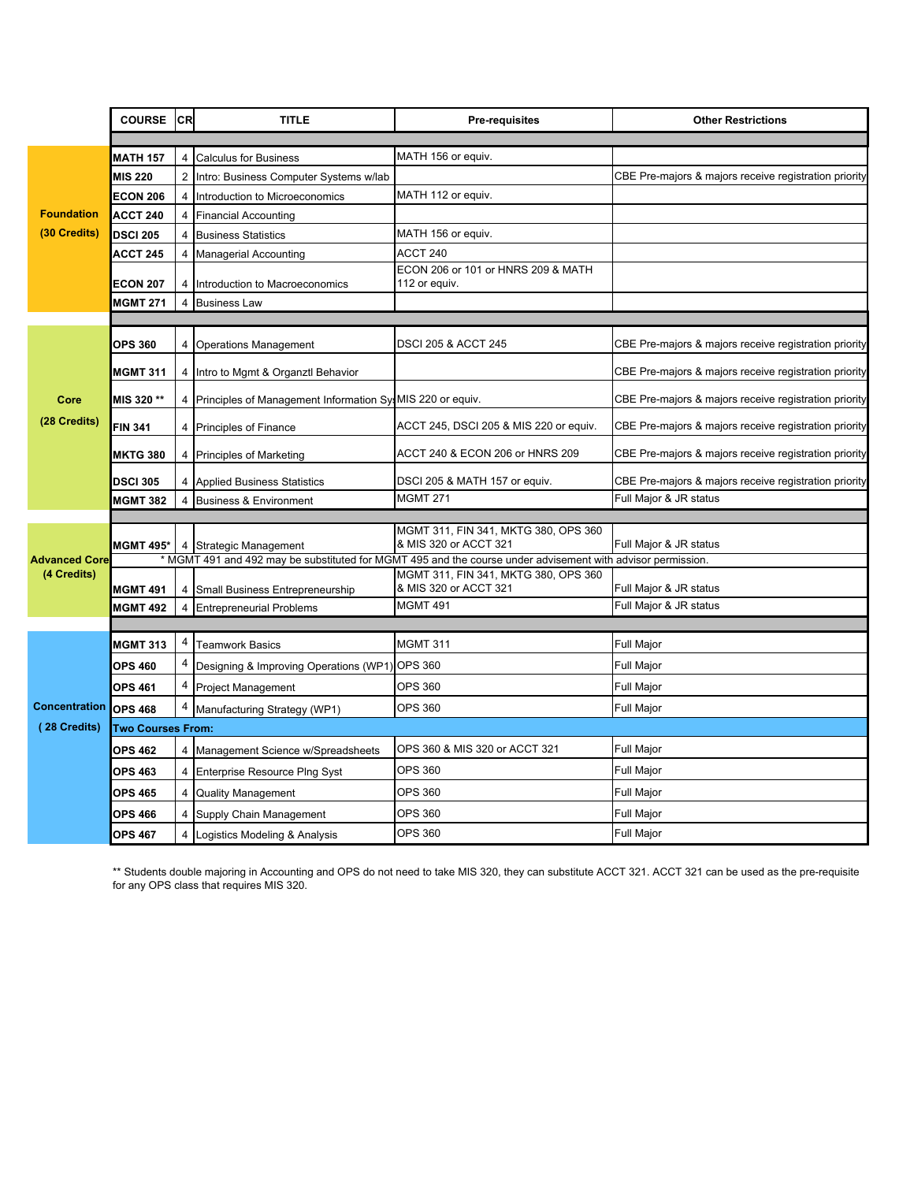|                      | <b>COURSE</b><br><b>CR</b><br><b>TITLE</b> |                |                                                             | <b>Pre-requisites</b>                                                                                       | <b>Other Restrictions</b>                             |  |  |  |
|----------------------|--------------------------------------------|----------------|-------------------------------------------------------------|-------------------------------------------------------------------------------------------------------------|-------------------------------------------------------|--|--|--|
|                      |                                            |                |                                                             |                                                                                                             |                                                       |  |  |  |
|                      | <b>MATH 157</b>                            | 4              | <b>Calculus for Business</b>                                | MATH 156 or equiv.                                                                                          |                                                       |  |  |  |
|                      | <b>MIS 220</b>                             | $\overline{2}$ | Intro: Business Computer Systems w/lab                      |                                                                                                             | CBE Pre-majors & majors receive registration priority |  |  |  |
|                      | <b>ECON 206</b>                            | 4              | Introduction to Microeconomics                              | MATH 112 or equiv.                                                                                          |                                                       |  |  |  |
| <b>Foundation</b>    | <b>ACCT 240</b>                            | 4              | <b>Financial Accounting</b>                                 |                                                                                                             |                                                       |  |  |  |
| (30 Credits)         | <b>DSCI 205</b>                            | 4              | <b>Business Statistics</b>                                  | MATH 156 or equiv.                                                                                          |                                                       |  |  |  |
|                      | ACCT 245                                   | 4              | <b>Managerial Accounting</b>                                | ACCT 240                                                                                                    |                                                       |  |  |  |
|                      | <b>ECON 207</b>                            |                | 4 Introduction to Macroeconomics                            | ECON 206 or 101 or HNRS 209 & MATH<br>112 or equiv.                                                         |                                                       |  |  |  |
|                      | <b>MGMT 271</b>                            | 4              | <b>Business Law</b>                                         |                                                                                                             |                                                       |  |  |  |
|                      |                                            |                |                                                             |                                                                                                             |                                                       |  |  |  |
|                      | <b>OPS 360</b>                             | 4              | <b>Operations Management</b>                                | <b>DSCI 205 &amp; ACCT 245</b>                                                                              | CBE Pre-majors & majors receive registration priority |  |  |  |
|                      | <b>MGMT 311</b>                            |                | 4 Intro to Mgmt & Organztl Behavior                         |                                                                                                             | CBE Pre-majors & majors receive registration priority |  |  |  |
| Core                 | MIS 320 **                                 |                | 4 Principles of Management Information SysMIS 220 or equiv. |                                                                                                             | CBE Pre-majors & majors receive registration priority |  |  |  |
| (28 Credits)         | <b>FIN 341</b>                             | 4              | <b>Principles of Finance</b>                                | ACCT 245, DSCI 205 & MIS 220 or equiv.                                                                      | CBE Pre-majors & majors receive registration priority |  |  |  |
|                      | <b>MKTG 380</b>                            |                | 4 Principles of Marketing                                   | ACCT 240 & ECON 206 or HNRS 209                                                                             | CBE Pre-majors & majors receive registration priority |  |  |  |
|                      | <b>DSCI 305</b>                            | 4              | <b>Applied Business Statistics</b>                          | DSCI 205 & MATH 157 or equiv.                                                                               | CBE Pre-majors & majors receive registration priority |  |  |  |
|                      | <b>MGMT 382</b>                            | 4              | <b>Business &amp; Environment</b>                           | <b>MGMT 271</b>                                                                                             | Full Major & JR status                                |  |  |  |
|                      |                                            |                |                                                             | MGMT 311, FIN 341, MKTG 380, OPS 360                                                                        |                                                       |  |  |  |
|                      | <b>MGMT 495*</b>                           | 4              | Strategic Management                                        | & MIS 320 or ACCT 321                                                                                       | Full Major & JR status                                |  |  |  |
| <b>Advanced Core</b> |                                            |                |                                                             | * MGMT 491 and 492 may be substituted for MGMT 495 and the course under advisement with advisor permission. |                                                       |  |  |  |
| (4 Credits)          | <b>MGMT 491</b>                            | 4              | Small Business Entrepreneurship                             | MGMT 311, FIN 341, MKTG 380, OPS 360<br>& MIS 320 or ACCT 321                                               | Full Major & JR status                                |  |  |  |
|                      | <b>MGMT 492</b>                            | 4              | <b>Entrepreneurial Problems</b>                             | <b>MGMT 491</b>                                                                                             | Full Major & JR status                                |  |  |  |
|                      |                                            |                |                                                             |                                                                                                             |                                                       |  |  |  |
|                      | <b>MGMT 313</b>                            | 4              | <b>Teamwork Basics</b>                                      | <b>MGMT 311</b>                                                                                             | Full Major                                            |  |  |  |
|                      | <b>OPS 460</b>                             |                | Designing & Improving Operations (WP1)                      | <b>OPS 360</b>                                                                                              | <b>Full Major</b>                                     |  |  |  |
|                      | <b>OPS 461</b>                             | 4              | <b>Project Management</b>                                   | <b>OPS 360</b>                                                                                              | Full Major                                            |  |  |  |
| <b>Concentration</b> | <b>OPS 468</b>                             | 4              | Manufacturing Strategy (WP1)                                | <b>OPS 360</b>                                                                                              | Full Major                                            |  |  |  |
| (28 Credits)         | <b>Two Courses From:</b>                   |                |                                                             |                                                                                                             |                                                       |  |  |  |
|                      | <b>OPS 462</b>                             |                | 4 Management Science w/Spreadsheets                         | OPS 360 & MIS 320 or ACCT 321                                                                               | Full Major                                            |  |  |  |
|                      | <b>OPS 463</b>                             |                | 4 Enterprise Resource Plng Syst                             | <b>OPS 360</b>                                                                                              | <b>Full Major</b>                                     |  |  |  |
|                      | OPS 465                                    | 4              | <b>Quality Management</b>                                   | <b>OPS 360</b>                                                                                              | <b>Full Major</b>                                     |  |  |  |
|                      | <b>OPS 466</b>                             |                | 4 Supply Chain Management                                   | OPS 360                                                                                                     | Full Major                                            |  |  |  |
|                      | <b>OPS 467</b>                             |                | 4 Logistics Modeling & Analysis                             | <b>OPS 360</b>                                                                                              | <b>Full Major</b>                                     |  |  |  |

\*\* Students double majoring in Accounting and OPS do not need to take MIS 320, they can substitute ACCT 321. ACCT 321 can be used as the pre-requisite for any OPS class that requires MIS 320.